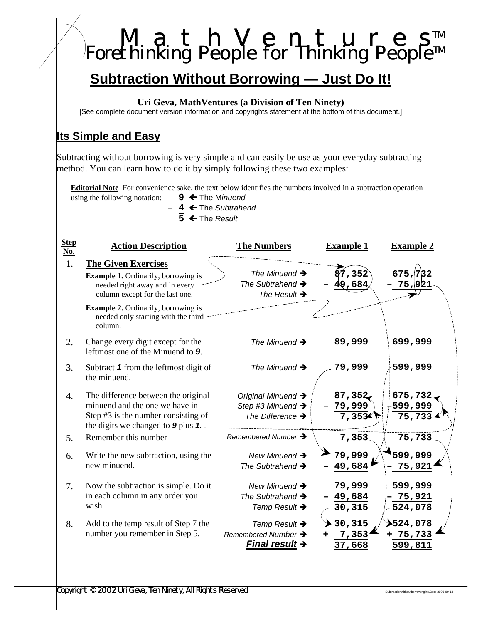|                                          | [See complete document version information and copyrights statement at the bottom of this document.]                                                                          | Uri Geva, MathVentures (a Division of Ten Ninety)                                     |                                  |                      |
|------------------------------------------|-------------------------------------------------------------------------------------------------------------------------------------------------------------------------------|---------------------------------------------------------------------------------------|----------------------------------|----------------------|
|                                          | <b>Its Simple and Easy</b>                                                                                                                                                    |                                                                                       |                                  |                      |
|                                          | Subtracting without borrowing is very simple and can easily be use as your everyday subtracting<br>method. You can learn how to do it by simply following these two examples: |                                                                                       |                                  |                      |
|                                          | <b>Editorial Note</b> For convenience sake, the text below identifies the numbers involved in a subtraction operation                                                         |                                                                                       |                                  |                      |
|                                          | using the following notation:<br>$9 \leftarrow$ The Minuend<br>← The Subtrahend                                                                                               |                                                                                       |                                  |                      |
|                                          | $\overline{5}$ $\leftarrow$ The Result                                                                                                                                        |                                                                                       |                                  |                      |
| <b>Step</b><br>$\underline{\text{No}}$ . | <b>Action Description</b>                                                                                                                                                     | <b>The Numbers</b>                                                                    | <b>Example 1</b>                 | <b>Example 2</b>     |
| 1.                                       | <b>The Given Exercises</b>                                                                                                                                                    |                                                                                       |                                  |                      |
|                                          | <b>Example 1.</b> Ordinarily, borrowing is<br>needed right away and in every<br>column except for the last one.                                                               | The Minuend $\rightarrow$<br>The Subtrahend $\rightarrow$<br>The Result $\rightarrow$ | $\tilde{8}7$ , 352 $\,$<br>9,684 | 675, 732             |
|                                          | <b>Example 2.</b> Ordinarily, borrowing is<br>needed only starting with the third-<br>column.                                                                                 |                                                                                       |                                  |                      |
| 2.                                       | Change every digit except for the<br>leftmost one of the Minuend to 9.                                                                                                        | The Minuend $\rightarrow$                                                             | 89,999                           | 699,999              |
| 3.                                       | Subtract 1 from the leftmost digit of<br>the minuend.                                                                                                                         | The Minuend $\rightarrow$                                                             | 79,999                           | 599,999              |
| 4.                                       | The difference between the original<br>minuend and the one we have in<br>Step #3 is the number consisting of                                                                  | Original Minuend ><br>Step #3 Minuend $\rightarrow$<br>The Difference $\rightarrow$   | 87,352<br>79,999                 | 675,732<br>-599,999  |
|                                          | the digits we changed to 9 plus 1.                                                                                                                                            |                                                                                       | 7,3534                           | $75,733$ $\triangle$ |
| 5.                                       | Remember this number                                                                                                                                                          | Remembered Number $\rightarrow$                                                       | 7,353                            | 75,733               |
| 6.                                       | Write the new subtraction, using the                                                                                                                                          | New Minuend $\rightarrow$                                                             | 79,999                           | 599,999              |
|                                          | new minuend.                                                                                                                                                                  | The Subtrahend $\rightarrow$                                                          | 49,684                           | 75,921               |
|                                          |                                                                                                                                                                               |                                                                                       |                                  |                      |
| 7.                                       | Now the subtraction is simple. Do it<br>in each column in any order you                                                                                                       | New Minuend $\rightarrow$                                                             | 79,999<br>49,684                 | 599,999<br>75,921    |